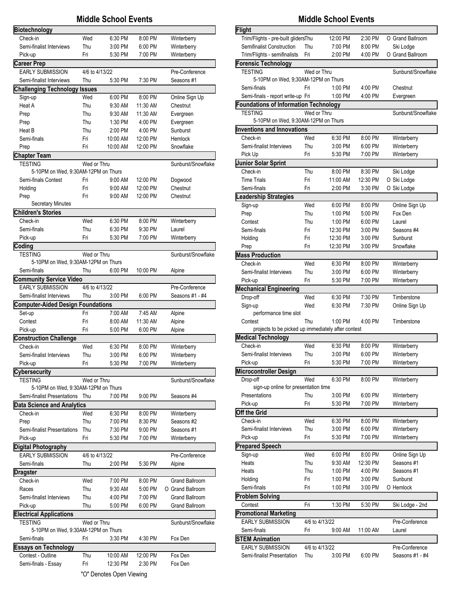|                                                       |                | <b>Middle School Events</b> |                     |                            |
|-------------------------------------------------------|----------------|-----------------------------|---------------------|----------------------------|
| Biotechnology                                         |                |                             |                     |                            |
| Check-in                                              | Wed            | 6:30 PM                     | 8:00 PM             | Winterberry                |
| Semi-finalist Interviews                              | Thu            | 3:00 PM                     | 6:00 PM             | Winterberry                |
| Pick-up                                               | Fri            | 5:30 PM                     | 7:00 PM             | Winterberry                |
| <b>Career Prep</b>                                    |                |                             |                     |                            |
| <b>EARLY SUBMISSION</b>                               | 4/6 to 4/13/22 |                             |                     | Pre-Conference             |
| Semi-finalist Interviews                              | Thu            | 5:30 PM                     | 7:30 PM             | Seasons #1                 |
| <b>Challenging Technology</b>                         | <b>Issues</b>  |                             |                     |                            |
| Sign-up<br>Heat A                                     | Wed<br>Thu     | 6:00 PM<br>9:30 AM          | 8:00 PM<br>11:30 AM | Online Sign Up<br>Chestnut |
| Prep                                                  | Thu            | 9:30 AM                     | 11:30 AM            | Evergreen                  |
| Prep                                                  | Thu            | 1:30 PM                     | 4:00 PM             | Evergreen                  |
| Heat B                                                | Thu            | 2:00 PM                     | 4:00 PM             | Sunburst                   |
| Semi-finals                                           | Fri            | 10:00 AM                    | 12:00 PM            | Hemlock                    |
| Prep                                                  | Fri            | 10:00 AM                    | 12:00 PM            | Snowflake                  |
| <b>Chapter Team</b>                                   |                |                             |                     |                            |
| <b>TESTING</b>                                        | Wed or Thru    |                             |                     | Sunburst/Snowflake         |
| 5-10PM on Wed. 9:30AM-12PM on Thurs                   |                |                             |                     |                            |
| Semi-finals Contest                                   | Fri            | 9:00 AM                     | 12:00 PM            | Dogwood                    |
| Holding                                               | Fri            | 9:00 AM                     | 12:00 PM            | Chestnut                   |
| Prep<br><b>Secretary Minutes</b>                      | Fri            | 9:00 AM                     | 12:00 PM            | Chestnut                   |
| <b>Children's Stories</b>                             |                |                             |                     |                            |
| Check-in                                              | Wed            | 6:30 PM                     | 8:00 PM             | Winterberry                |
| Semi-finals                                           | Thu            | 6:30 PM                     | 9:30 PM             | Laurel                     |
| Pick-up                                               | Fri            | 5:30 PM                     | 7:00 PM             | Winterberry                |
| Coding                                                |                |                             |                     |                            |
| <b>TESTING</b>                                        | Wed or Thru    |                             |                     | Sunburst/Snowflake         |
| 5-10PM on Wed, 9:30AM-12PM on Thurs                   |                |                             |                     |                            |
| Semi-finals                                           | Thu            | 6:00 PM                     | 10:00 PM            | Alpine                     |
| <b>Community Service Video</b>                        |                |                             |                     |                            |
| <b>EARLY SUBMISSION</b>                               | 4/6 to 4/13/22 |                             |                     | Pre-Conference             |
| Semi-finalist Interviews                              | Thu            | 3:00 PM                     | 6:00 PM             | Seasons #1 - #4            |
| <b>Computer-Aided Design Foundations</b>              |                |                             |                     |                            |
| Set-up                                                | Fri<br>Fri     | 7:00 AM                     | 7:45 AM             | Alpine                     |
| Contest<br>Pick-up                                    | Fri            | 8:00 AM<br>5:00 PM          | 11:30 AM<br>6:00 PM | Alpine<br>Alpine           |
| <b>Construction Challenge</b>                         |                |                             |                     |                            |
| Check-in                                              | Wed            | 6:30 PM                     | 8:00 PM             | Winterberry                |
| Semi-finalist Interviews                              | Thu            | 3:00 PM                     | 6:00 PM             | Winterberry                |
| Pick-up                                               | Fri            | 5:30 PM                     | 7:00 PM             | Winterberry                |
| <b>Cybersecurity</b>                                  |                |                             |                     |                            |
| TESTING                                               | Wed or Thru    |                             |                     | Sunburst/Snowflake         |
| 5-10PM on Wed, 9:30AM-12PM on Thurs                   |                |                             |                     |                            |
| Semi-finalist Presentations                           | Thu            | 7:00 PM                     | 9:00 PM             | Seasons #4                 |
| <b>Data Science and Analytics</b>                     |                |                             |                     |                            |
| Check-in                                              | Wed            | 6:30 PM                     | 8:00 PM             | Winterberry                |
| Prep                                                  | Thu            | 7:00 PM                     | 8:30 PM             | Seasons #2                 |
| Semi-finalist Presentations                           | Thu            | 7:30 PM                     | 9:00 PM             | Seasons #1                 |
| Pick-up                                               | Fri            | 5:30 PM                     | 7:00 PM             | Winterberry                |
| <b>Digital Photography</b><br><b>EARLY SUBMISSION</b> | 4/6 to 4/13/22 |                             |                     | Pre-Conference             |
| Semi-finals                                           | Thu            | 2:00 PM                     | 5:30 PM             | Alpine                     |
| Dragster                                              |                |                             |                     |                            |
| Check-in                                              | Wed            | 7:00 PM                     | 8:00 PM             | <b>Grand Ballroom</b>      |
| Races                                                 | Thu            | 9:30 AM                     | 5:00 PM             | O Grand Ballroom           |
| Semi-finalist Interviews                              | Thu            | 4:00 PM                     | 7:00 PM             | <b>Grand Ballroom</b>      |
| Pick-up                                               | Thu            | 5:00 PM                     | 6:00 PM             | Grand Ballroom             |
| <b>Electrical Applications</b>                        |                |                             |                     |                            |
| <b>TESTING</b>                                        | Wed or Thru    |                             |                     | Sunburst/Snowflake         |
| 5-10PM on Wed, 9:30AM-12PM on Thurs                   |                |                             |                     |                            |
| Semi-finals                                           | Fri            | 3:30 PM                     | 4:30 PM             | Fox Den                    |
|                                                       |                |                             |                     |                            |
| <b>Essays on Technology</b>                           |                |                             |                     |                            |
| Contest - Outline<br>Semi-finals - Essay              | Thu<br>Fri     | 10:00 AM<br>12:30 PM        | 12:00 PM<br>2:30 PM | Fox Den<br>Fox Den         |

## **Middle School Events Middle School Events**

| Flight                                             |     |                |          |                    |
|----------------------------------------------------|-----|----------------|----------|--------------------|
| Trim/Flights - pre-built glidersThu                |     | 12:00 PM       | 2:30 PM  | O Grand Ballroom   |
| Semifinalist Construction                          | Thu | 7:00 PM        | 8:00 PM  | Ski Lodge          |
| Trim/Flights - semifinalists                       | Fri | 2:00 PM        | 4:00 PM  | O Grand Ballroom   |
| <b>Forensic Technology</b>                         |     |                |          |                    |
| <b>TESTING</b>                                     |     | Wed or Thru    |          | Sunburst/Snowflake |
| 5-10PM on Wed, 9;30AM-12PM on Thurs                |     |                |          |                    |
| Semi-finals                                        | Fri | 1:00 PM        | 4:00 PM  | Chestnut           |
| Semi-finals - report write-up Fri                  |     | 1:00 PM        | 4:00 PM  | Evergreen          |
| <b>Foundations of Information Technology</b>       |     |                |          |                    |
| <b>TESTING</b>                                     |     | Wed or Thru    |          | Sunburst/Snowflake |
| 5-10PM on Wed, 9:30AM-12PM on Thurs                |     |                |          |                    |
| <b>Inventions and Innovations</b>                  |     |                |          |                    |
| Check-in                                           | Wed | 6:30 PM        | 8:00 PM  | Winterberry        |
| Semi-finalist Interviews                           | Thu | 3:00 PM        | 6:00 PM  | Winterberry        |
| Pick Up                                            | Fri | 5:30 PM        | 7:00 PM  | Winterberry        |
| <b>Junior Solar Sprint</b>                         |     |                |          |                    |
| Check-in                                           | Thu | 8:00 PM        | 8:30 PM  | Ski Lodge          |
| <b>Time Trials</b>                                 | Fri | 11:00 AM       | 12:30 PM | O Ski Lodge        |
| Semi-finals                                        | Fri | 2:00 PM        | 3:30 PM  | O Ski Lodge        |
| eadership Strategies                               |     |                |          |                    |
| Sign-up                                            | Wed | 6:00 PM        | 8:00 PM  | Online Sign Up     |
| Prep                                               | Thu | 1:00 PM        | 5:00 PM  | Fox Den            |
| Contest                                            | Thu | 1:00 PM        | 6:00 PM  | Laurel             |
| Semi-finals                                        | Fri | 12:30 PM       | 3:00 PM  | Seasons #4         |
| Holding                                            | Fri | 12:30 PM       | 3:00 PM  | Sunburst           |
| Prep                                               | Fri | 12:30 PM       | 3:00 PM  | Snowflake          |
| <b>Mass Production</b>                             |     |                |          |                    |
| Check-in                                           | Wed | 6:30 PM        | 8:00 PM  | Winterberry        |
| Semi-finalist Interviews                           | Thu | 3:00 PM        | 6:00 PM  | Winterberry        |
| Pick-up                                            | Fri | 5:30 PM        | 7:00 PM  | Winterberry        |
| <b>Mechanical Engineering</b>                      |     |                |          |                    |
| Drop-off                                           | Wed | 6:30 PM        | 7:30 PM  | Timberstone        |
| Sign-up                                            | Wed | 6:30 PM        | 7:30 PM  | Online Sign Up     |
| performance time slot                              |     |                |          |                    |
| Contest                                            | Thu | 1:00 PM        | 4:00 PM  | Timberstone        |
| projects to be picked up immediately after contest |     |                |          |                    |
| <b>Medical Technology</b>                          |     |                |          |                    |
| Check-in                                           | Wed | 6:30 PM        | 8:00 PM  | Winterberry        |
| Semi-finalist Interviews                           | Thu | 3:00 PM        | 6:00 PM  | Winterberry        |
| Pick-up                                            | Fri | 5:30 PM        | 7:00 PM  | Winterberry        |
| Microcontroller Design                             |     |                |          |                    |
| Drop-off                                           | Wed | 6:30 PM        | 8:00 PM  | Winterberry        |
| sign-up online for presentation time               |     |                |          |                    |
| Presentations                                      | Thu | 3:00 PM        | 6:00 PM  | Winterberry        |
| Pick-up                                            | Fri | 5:30 PM        | 7:00 PM  | Winterberry        |
| Off the Grid                                       |     |                |          |                    |
| Check-in                                           | Wed | 6:30 PM        | 8:00 PM  | Winterberry        |
| Semi-finalist Interviews                           | Thu | 3:00 PM        | 6:00 PM  | Winterberry        |
| Pick-up                                            | Fri | 5:30 PM        | 7:00 PM  | Winterberry        |
| <b>Prepared Speech</b>                             |     |                |          |                    |
| Sign-up                                            | Wed | 6:00 PM        | 8:00 PM  | Online Sign Up     |
| Heats                                              | Thu | 9:30 AM        | 12:30 PM | Seasons #1         |
| Heats                                              | Thu | 1:00 PM        | 4:00 PM  | Seasons #1         |
| Holding                                            | Fri | 1:00 PM        | 3:00 PM  | Sunburst           |
| Semi-finals                                        | Fri | 1:00 PM        | 3:00 PM  | O Hemlock          |
| <b>Problem Solving</b>                             |     |                |          |                    |
| Contest                                            | Fri | 1:30 PM        | 5:30 PM  | Ski Lodge - 2nd    |
| <b>Promotional Marketing</b>                       |     |                |          |                    |
| <b>EARLY SUBMISSION</b>                            |     | 4/6 to 4/13/22 |          | Pre-Conference     |
| Semi-finals                                        | Fri | 9:00 AM        | 11:00 AM | Laurel             |
| <b>STEM Animation</b>                              |     |                |          |                    |
| <b>EARLY SUBMISSION</b>                            |     | 4/6 to 4/13/22 |          | Pre-Conference     |
| Semi-finalist Presentation                         | Thu | 3:00 PM        | 6:00 PM  | Seasons #1 - #4    |

"O" Denotes Open Viewing